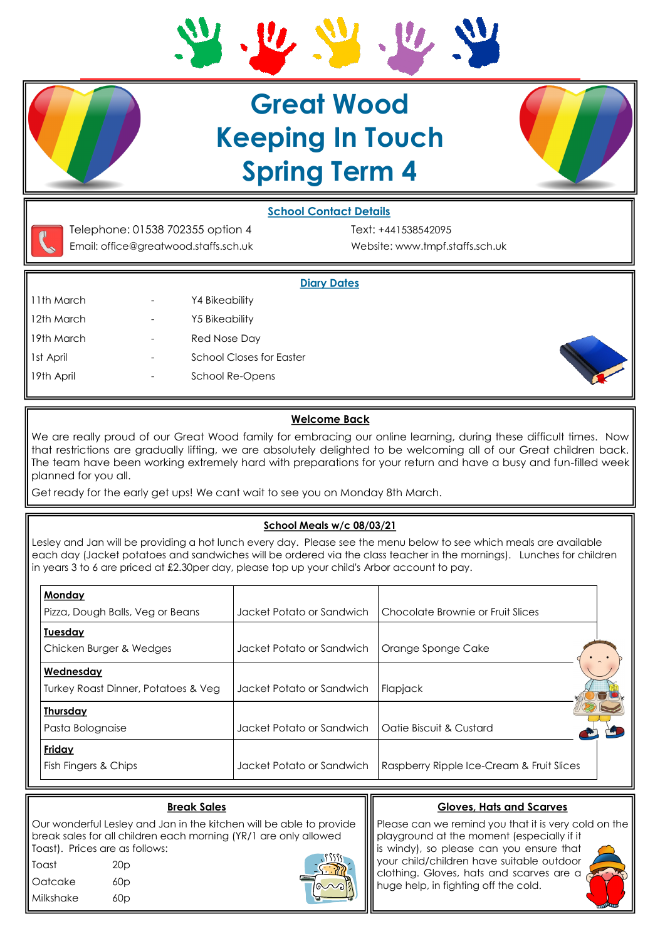

# **Great Wood Keeping In Touch Spring Term 4**



## **School Contact Details**



Telephone: 01538 702355 option 4 Text: +441538542095 Email: office@greatwood.staffs.sch.uk Website: www.tmpf.staffs.sch.uk

### **Diary Dates**

11th March The Contract Library 24 Bikeability 12th March - Y5 Bikeability 19th March The Contract Contract Red Nose Day 1st April **1st April 1st April 1st April 1st April 1st April 1st April 1st April 1st April 1st April 1st April 1st April 1st April 1st April 1st April 1st April 1st April 1st April 1st April 1st April 1st April 1st April 1** 19th April **19th April 19th April 19th April** 



### **Welcome Back**

We are really proud of our Great Wood family for embracing our online learning, during these difficult times. Now that restrictions are gradually lifting, we are absolutely delighted to be welcoming all of our Great children back. The team have been working extremely hard with preparations for your return and have a busy and fun-filled week planned for you all.

Get ready for the early get ups! We cant wait to see you on Monday 8th March.

#### **School Meals w/c 08/03/21**

Lesley and Jan will be providing a hot lunch every day. Please see the menu below to see which meals are available each day (Jacket potatoes and sandwiches will be ordered via the class teacher in the mornings). Lunches for children in years 3 to 6 are priced at £2.30per day, please top up your child's Arbor account to pay.

| Monday<br>Pizza, Dough Balls, Veg or Beans       | Jacket Potato or Sandwich | Chocolate Brownie or Fruit Slices         |  |
|--------------------------------------------------|---------------------------|-------------------------------------------|--|
| <b>Tuesday</b><br>Chicken Burger & Wedges        | Jacket Potato or Sandwich | Orange Sponge Cake                        |  |
| Wednesday<br>Turkey Roast Dinner, Potatoes & Veg | Jacket Potato or Sandwich | Flapjack                                  |  |
| <b>Thursday</b><br>Pasta Bolognaise              | Jacket Potato or Sandwich | Oatie Biscuit & Custard                   |  |
| Friday<br>Fish Fingers & Chips                   | Jacket Potato or Sandwich | Raspberry Ripple Ice-Cream & Fruit Slices |  |

| <b>Break Sales</b>                                                                                                                                                                                                                                                                                | <b>Gloves, Hats and Scarves</b>                                                                                                                                                                                                                                                                          |
|---------------------------------------------------------------------------------------------------------------------------------------------------------------------------------------------------------------------------------------------------------------------------------------------------|----------------------------------------------------------------------------------------------------------------------------------------------------------------------------------------------------------------------------------------------------------------------------------------------------------|
| Our wonderful Lesley and Jan in the kitchen will be able to provide<br>break sales for all children each morning (YR/1 are only allowed<br>Toast). Prices are as follows:<br>$\sqrt{3222}$<br>l Toast<br>20 <sub>D</sub><br><b>Oatcake</b><br>60p<br>$\overline{\text{10}}$<br>l Milkshake<br>60p | $\ $ Please can we remind you that it is very cold on the<br>   playground at the moment (especially if it<br>$\  \ $ is windy), so please can you ensure that<br>   your child/children have suitable outdoor<br>   clothing. Gloves, hats and scarves are a<br>   huge help, in fighting off the cold. |